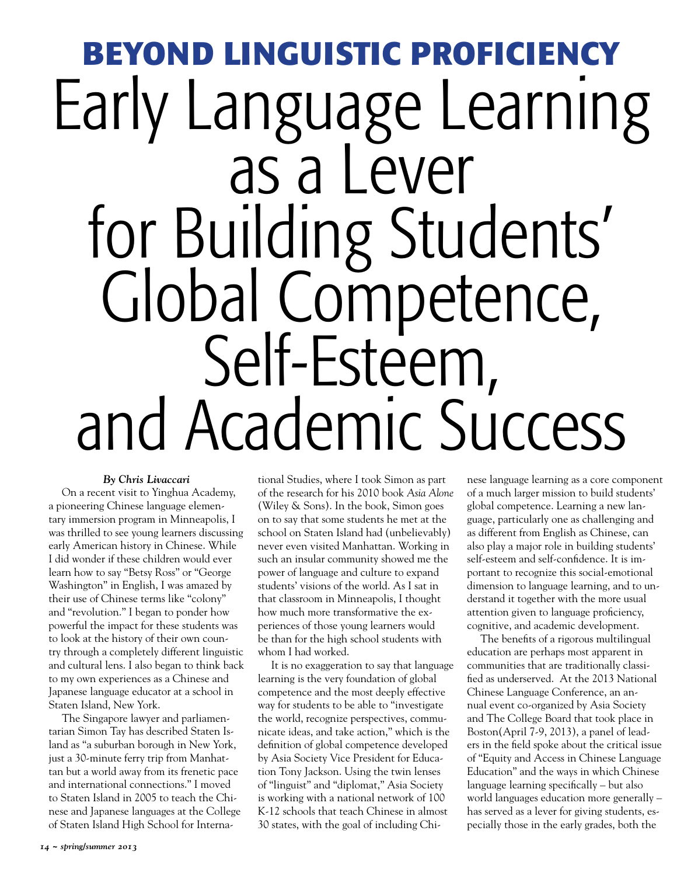## **Beyond Linguistic Proficiency** Early Language Learning<br>as a Lever for Building Students' Global Competence, and Academic Success

## *By Chris Livaccari*

On a recent visit to Yinghua Academy, a pioneering Chinese language elementary immersion program in Minneapolis, I was thrilled to see young learners discussing early American history in Chinese. While I did wonder if these children would ever learn how to say "Betsy Ross" or "George Washington" in English, I was amazed by their use of Chinese terms like "colony" and "revolution." I began to ponder how powerful the impact for these students was to look at the history of their own country through a completely different linguistic and cultural lens. I also began to think back to my own experiences as a Chinese and Japanese language educator at a school in Staten Island, New York.

The Singapore lawyer and parliamentarian Simon Tay has described Staten Island as "a suburban borough in New York, just a 30-minute ferry trip from Manhattan but a world away from its frenetic pace and international connections." I moved to Staten Island in 2005 to teach the Chinese and Japanese languages at the College of Staten Island High School for International Studies, where I took Simon as part of the research for his 2010 book *Asia Alone*  (Wiley & Sons). In the book, Simon goes on to say that some students he met at the school on Staten Island had (unbelievably) never even visited Manhattan. Working in such an insular community showed me the power of language and culture to expand students' visions of the world. As I sat in that classroom in Minneapolis, I thought how much more transformative the experiences of those young learners would be than for the high school students with whom I had worked.

It is no exaggeration to say that language learning is the very foundation of global competence and the most deeply effective way for students to be able to "investigate the world, recognize perspectives, communicate ideas, and take action," which is the definition of global competence developed by Asia Society Vice President for Education Tony Jackson. Using the twin lenses of "linguist" and "diplomat," Asia Society is working with a national network of 100 K-12 schools that teach Chinese in almost 30 states, with the goal of including Chinese language learning as a core component of a much larger mission to build students' global competence. Learning a new language, particularly one as challenging and as different from English as Chinese, can also play a major role in building students' self-esteem and self-confidence. It is important to recognize this social-emotional dimension to language learning, and to understand it together with the more usual attention given to language proficiency, cognitive, and academic development.

The benefits of a rigorous multilingual education are perhaps most apparent in communities that are traditionally classified as underserved. At the 2013 National Chinese Language Conference, an annual event co-organized by Asia Society and The College Board that took place in Boston(April 7-9, 2013), a panel of leaders in the field spoke about the critical issue of "Equity and Access in Chinese Language Education" and the ways in which Chinese language learning specifically – but also world languages education more generally – has served as a lever for giving students, especially those in the early grades, both the